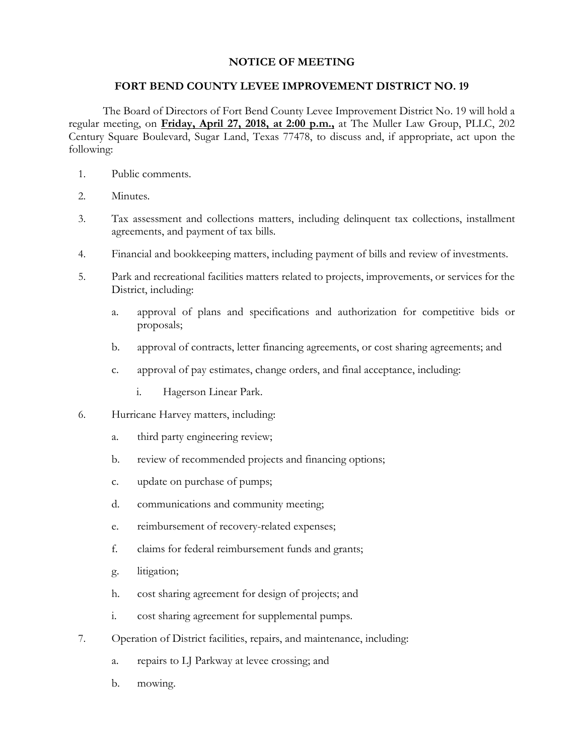## **NOTICE OF MEETING**

## **FORT BEND COUNTY LEVEE IMPROVEMENT DISTRICT NO. 19**

The Board of Directors of Fort Bend County Levee Improvement District No. 19 will hold a regular meeting, on **Friday, April 27, 2018, at 2:00 p.m.,** at The Muller Law Group, PLLC, 202 Century Square Boulevard, Sugar Land, Texas 77478, to discuss and, if appropriate, act upon the following:

- 1. Public comments.
- 2. Minutes.
- 3. Tax assessment and collections matters, including delinquent tax collections, installment agreements, and payment of tax bills.
- 4. Financial and bookkeeping matters, including payment of bills and review of investments.
- 5. Park and recreational facilities matters related to projects, improvements, or services for the District, including:
	- a. approval of plans and specifications and authorization for competitive bids or proposals;
	- b. approval of contracts, letter financing agreements, or cost sharing agreements; and
	- c. approval of pay estimates, change orders, and final acceptance, including:
		- i. Hagerson Linear Park.
- 6. Hurricane Harvey matters, including:
	- a. third party engineering review;
	- b. review of recommended projects and financing options;
	- c. update on purchase of pumps;
	- d. communications and community meeting;
	- e. reimbursement of recovery-related expenses;
	- f. claims for federal reimbursement funds and grants;
	- g. litigation;
	- h. cost sharing agreement for design of projects; and
	- i. cost sharing agreement for supplemental pumps.
- 7. Operation of District facilities, repairs, and maintenance, including:
	- a. repairs to LJ Parkway at levee crossing; and
	- b. mowing.